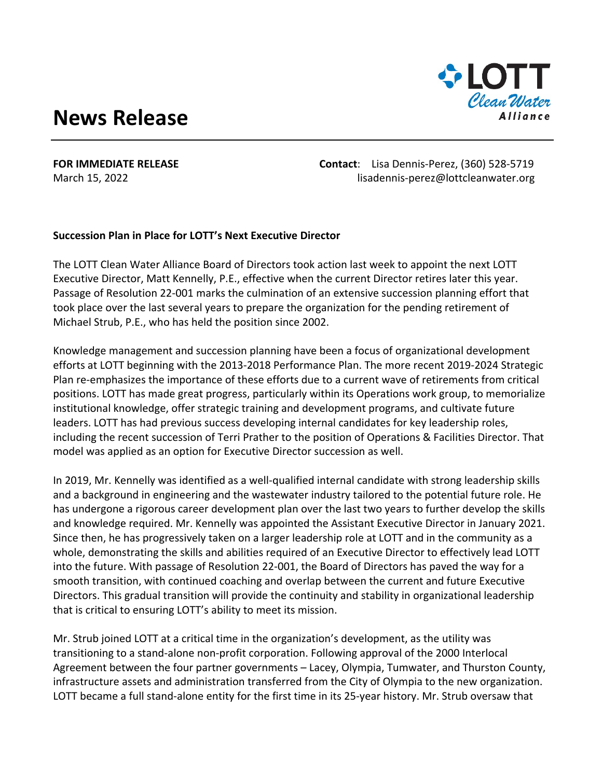## **News Release**



**FOR IMMEDIATE RELEASE Contact**: Lisa Dennis-Perez, (360) 528-5719 March 15, 2022 **March 15, 2022** lisadennis-perez@lottcleanwater.org

## **Succession Plan in Place for LOTT's Next Executive Director**

The LOTT Clean Water Alliance Board of Directors took action last week to appoint the next LOTT Executive Director, Matt Kennelly, P.E., effective when the current Director retires later this year. Passage of Resolution 22-001 marks the culmination of an extensive succession planning effort that took place over the last several years to prepare the organization for the pending retirement of Michael Strub, P.E., who has held the position since 2002.

Knowledge management and succession planning have been a focus of organizational development efforts at LOTT beginning with the 2013-2018 Performance Plan. The more recent 2019-2024 Strategic Plan re-emphasizes the importance of these efforts due to a current wave of retirements from critical positions. LOTT has made great progress, particularly within its Operations work group, to memorialize institutional knowledge, offer strategic training and development programs, and cultivate future leaders. LOTT has had previous success developing internal candidates for key leadership roles, including the recent succession of Terri Prather to the position of Operations & Facilities Director. That model was applied as an option for Executive Director succession as well.

In 2019, Mr. Kennelly was identified as a well-qualified internal candidate with strong leadership skills and a background in engineering and the wastewater industry tailored to the potential future role. He has undergone a rigorous career development plan over the last two years to further develop the skills and knowledge required. Mr. Kennelly was appointed the Assistant Executive Director in January 2021. Since then, he has progressively taken on a larger leadership role at LOTT and in the community as a whole, demonstrating the skills and abilities required of an Executive Director to effectively lead LOTT into the future. With passage of Resolution 22-001, the Board of Directors has paved the way for a smooth transition, with continued coaching and overlap between the current and future Executive Directors. This gradual transition will provide the continuity and stability in organizational leadership that is critical to ensuring LOTT's ability to meet its mission.

Mr. Strub joined LOTT at a critical time in the organization's development, as the utility was transitioning to a stand-alone non-profit corporation. Following approval of the 2000 Interlocal Agreement between the four partner governments – Lacey, Olympia, Tumwater, and Thurston County, infrastructure assets and administration transferred from the City of Olympia to the new organization. LOTT became a full stand-alone entity for the first time in its 25-year history. Mr. Strub oversaw that